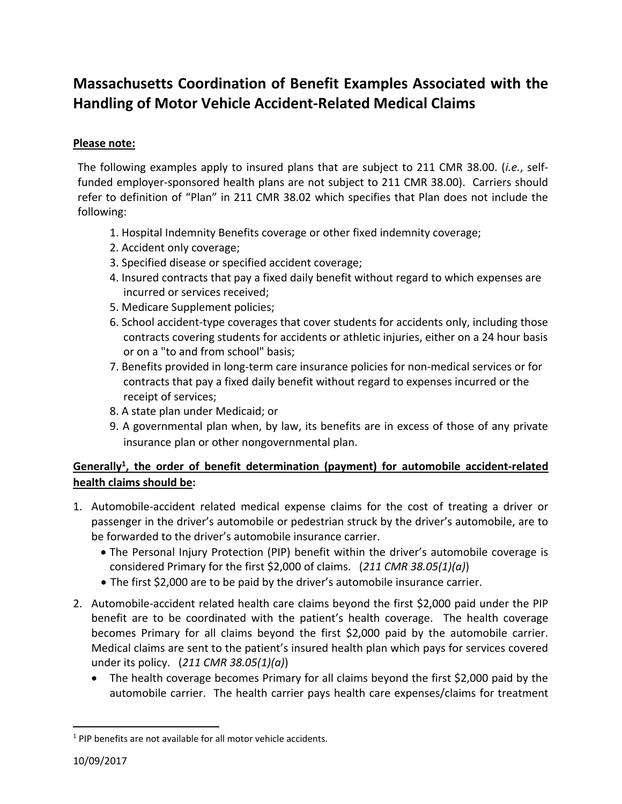# **Massachusetts Coordination of Benefit Examples Associated with the Handling of Motor Vehicle Accident-Related Medical Claims**

## **Please note:**

The following examples apply to insured plans that are subject to 211 CMR 38.00. (*i.e.*, selffunded employer-sponsored health plans are not subject to 211 CMR 38.00). Carriers should refer to definition of "Plan" in 211 CMR 38.02 which specifies that Plan does not include the following:

- 1. Hospital Indemnity Benefits coverage or other fixed indemnity coverage;
- 2. Accident only coverage;
- 3. Specified disease or specified accident coverage;
- 4. Insured contracts that pay a fixed daily benefit without regard to which expenses are incurred or services received;
- 5. Medicare Supplement policies;
- 6. School accident-type coverages that cover students for accidents only, including those contracts covering students for accidents or athletic injuries, either on a 24 hour basis or on a "to and from school" basis;
- 7. Benefits provided in long-term care insurance policies for non-medical services or for contracts that pay a fixed daily benefit without regard to expenses incurred or the receipt of services;
- 8. A state plan under Medicaid; or
- 9. A governmental plan when, by law, its benefits are in excess of those of any private insurance plan or other nongovernmental plan.

## **Generally<sup>1</sup> , the order of benefit determination (payment) for automobile accident-related health claims should be:**

- 1. Automobile-accident related medical expense claims for the cost of treating a driver or passenger in the driver's automobile or pedestrian struck by the driver's automobile, are to be forwarded to the driver's automobile insurance carrier.
	- The Personal Injury Protection (PIP) benefit within the driver's automobile coverage is considered Primary for the first \$2,000 of claims. (*211 CMR 38.05(1)(a)*)
	- The first \$2,000 are to be paid by the driver's automobile insurance carrier.
- 2. Automobile-accident related health care claims beyond the first \$2,000 paid under the PIP benefit are to be coordinated with the patient's health coverage. The health coverage becomes Primary for all claims beyond the first \$2,000 paid by the automobile carrier. Medical claims are sent to the patient's insured health plan which pays for services covered under its policy. (*211 CMR 38.05(1)(a)*)
	- The health coverage becomes Primary for all claims beyond the first \$2,000 paid by the automobile carrier. The health carrier pays health care expenses/claims for treatment

 $\overline{a}$ 

<sup>&</sup>lt;sup>1</sup> PIP benefits are not available for all motor vehicle accidents.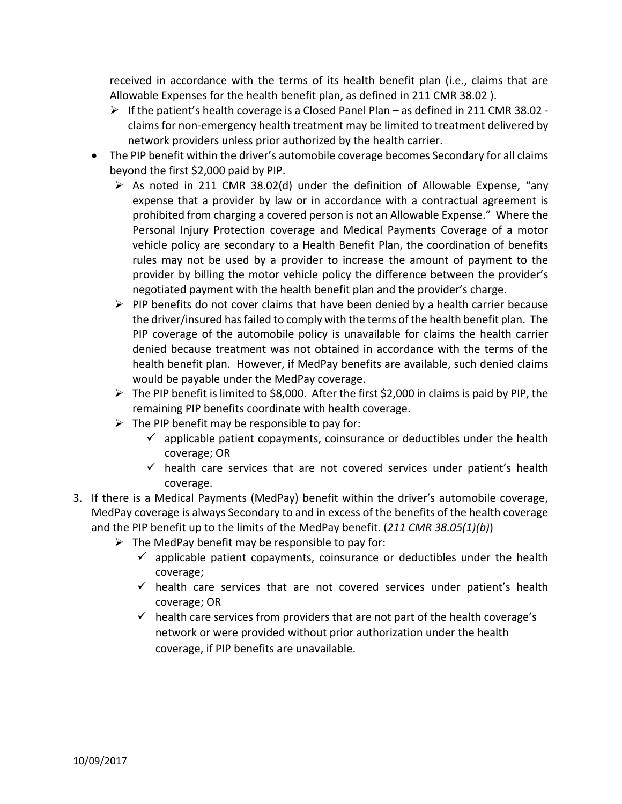received in accordance with the terms of its health benefit plan (i.e., claims that are Allowable Expenses for the health benefit plan, as defined in 211 CMR 38.02 ).

- $\triangleright$  If the patient's health coverage is a Closed Panel Plan as defined in 211 CMR 38.02 claims for non-emergency health treatment may be limited to treatment delivered by network providers unless prior authorized by the health carrier.
- The PIP benefit within the driver's automobile coverage becomes Secondary for all claims beyond the first \$2,000 paid by PIP.
	- $\triangleright$  As noted in 211 CMR 38.02(d) under the definition of Allowable Expense, "any expense that a provider by law or in accordance with a contractual agreement is prohibited from charging a covered person is not an Allowable Expense." Where the Personal Injury Protection coverage and Medical Payments Coverage of a motor vehicle policy are secondary to a Health Benefit Plan, the coordination of benefits rules may not be used by a provider to increase the amount of payment to the provider by billing the motor vehicle policy the difference between the provider's negotiated payment with the health benefit plan and the provider's charge.
	- $\triangleright$  PIP benefits do not cover claims that have been denied by a health carrier because the driver/insured has failed to comply with the terms of the health benefit plan. The PIP coverage of the automobile policy is unavailable for claims the health carrier denied because treatment was not obtained in accordance with the terms of the health benefit plan. However, if MedPay benefits are available, such denied claims would be payable under the MedPay coverage.
	- $\triangleright$  The PIP benefit is limited to \$8,000. After the first \$2,000 in claims is paid by PIP, the remaining PIP benefits coordinate with health coverage.
	- $\triangleright$  The PIP benefit may be responsible to pay for:
		- $\checkmark$  applicable patient copayments, coinsurance or deductibles under the health coverage; OR
		- $\checkmark$  health care services that are not covered services under patient's health coverage.
- 3. If there is a Medical Payments (MedPay) benefit within the driver's automobile coverage, MedPay coverage is always Secondary to and in excess of the benefits of the health coverage and the PIP benefit up to the limits of the MedPay benefit. (*211 CMR 38.05(1)(b)*)
	- $\triangleright$  The MedPay benefit may be responsible to pay for:
		- $\checkmark$  applicable patient copayments, coinsurance or deductibles under the health coverage;
		- $\checkmark$  health care services that are not covered services under patient's health coverage; OR
		- $\checkmark$  health care services from providers that are not part of the health coverage's network or were provided without prior authorization under the health coverage, if PIP benefits are unavailable.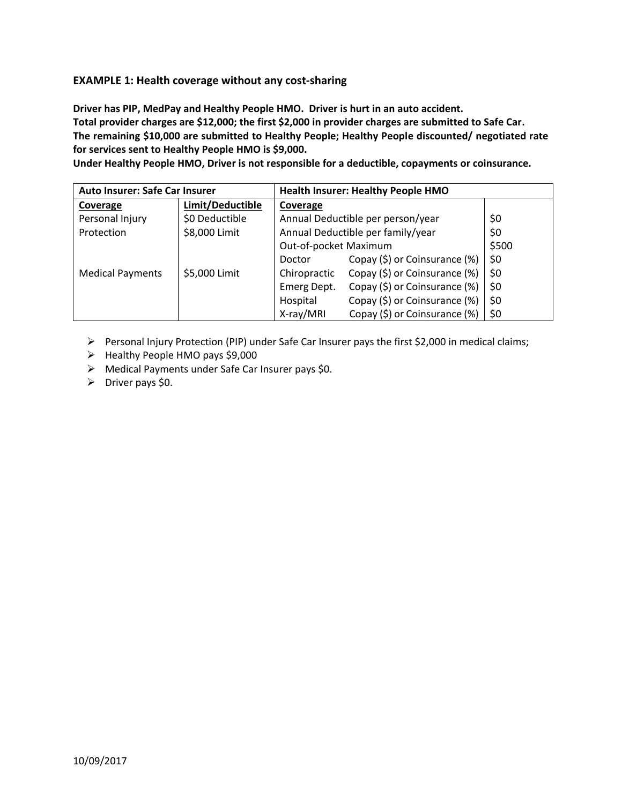### **EXAMPLE 1: Health coverage without any cost-sharing**

**Driver has PIP, MedPay and Healthy People HMO. Driver is hurt in an auto accident. Total provider charges are \$12,000; the first \$2,000 in provider charges are submitted to Safe Car. The remaining \$10,000 are submitted to Healthy People; Healthy People discounted/ negotiated rate for services sent to Healthy People HMO is \$9,000.** 

**Under Healthy People HMO, Driver is not responsible for a deductible, copayments or coinsurance.**

| Auto Insurer: Safe Car Insurer |                  | <b>Health Insurer: Healthy People HMO</b> |                                   |       |
|--------------------------------|------------------|-------------------------------------------|-----------------------------------|-------|
| Coverage                       | Limit/Deductible | Coverage                                  |                                   |       |
| Personal Injury                | \$0 Deductible   |                                           | Annual Deductible per person/year | \$0   |
| Protection                     | \$8,000 Limit    | Annual Deductible per family/year         |                                   | \$0   |
|                                |                  | Out-of-pocket Maximum                     |                                   | \$500 |
|                                |                  | Doctor                                    | Copay (\$) or Coinsurance (%)     | \$0   |
| <b>Medical Payments</b>        | \$5,000 Limit    | Chiropractic                              | Copay (\$) or Coinsurance (%)     | \$0   |
|                                |                  | Emerg Dept.                               | Copay (\$) or Coinsurance (%)     | \$0   |
|                                |                  | Hospital                                  | Copay (\$) or Coinsurance (%)     | \$0   |
|                                |                  | X-ray/MRI                                 | Copay (\$) or Coinsurance (%)     | \$0   |

Personal Injury Protection (PIP) under Safe Car Insurer pays the first \$2,000 in medical claims;

- $\triangleright$  Healthy People HMO pays \$9,000
- Medical Payments under Safe Car Insurer pays \$0.
- $\triangleright$  Driver pays \$0.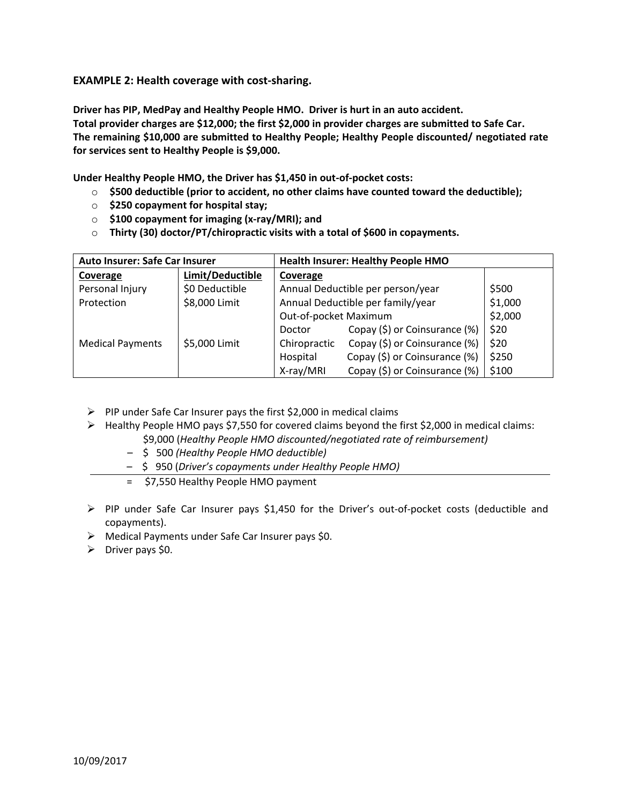**EXAMPLE 2: Health coverage with cost-sharing.**

**Driver has PIP, MedPay and Healthy People HMO. Driver is hurt in an auto accident. Total provider charges are \$12,000; the first \$2,000 in provider charges are submitted to Safe Car. The remaining \$10,000 are submitted to Healthy People; Healthy People discounted/ negotiated rate for services sent to Healthy People is \$9,000.** 

**Under Healthy People HMO, the Driver has \$1,450 in out-of-pocket costs:**

- o **\$500 deductible (prior to accident, no other claims have counted toward the deductible);**
- o **\$250 copayment for hospital stay;**
- o **\$100 copayment for imaging (x-ray/MRI); and**
- o **Thirty (30) doctor/PT/chiropractic visits with a total of \$600 in copayments.**

| <b>Auto Insurer: Safe Car Insurer</b> |                  | <b>Health Insurer: Healthy People HMO</b> |                                   |         |
|---------------------------------------|------------------|-------------------------------------------|-----------------------------------|---------|
| Coverage                              | Limit/Deductible | Coverage                                  |                                   |         |
| Personal Injury                       | \$0 Deductible   |                                           | Annual Deductible per person/year | \$500   |
| Protection                            | \$8,000 Limit    | Annual Deductible per family/year         |                                   | \$1,000 |
|                                       |                  | Out-of-pocket Maximum                     |                                   | \$2,000 |
|                                       |                  | Doctor                                    | Copay (\$) or Coinsurance (%)     | \$20    |
| <b>Medical Payments</b>               | \$5,000 Limit    | Chiropractic                              | Copay (\$) or Coinsurance (%)     | \$20    |
|                                       |                  | Hospital                                  | Copay (\$) or Coinsurance (%)     | \$250   |
|                                       |                  | X-ray/MRI                                 | Copay (\$) or Coinsurance (%)     | \$100   |

- $\triangleright$  PIP under Safe Car Insurer pays the first \$2,000 in medical claims
- $\triangleright$  Healthy People HMO pays \$7,550 for covered claims beyond the first \$2,000 in medical claims: \$9,000 (*Healthy People HMO discounted/negotiated rate of reimbursement)*
	- \$ 500 *(Healthy People HMO deductible)*
	- \$ 950 (*Driver's copayments under Healthy People HMO)*
	- = \$7,550 Healthy People HMO payment
- $\triangleright$  PIP under Safe Car Insurer pays \$1,450 for the Driver's out-of-pocket costs (deductible and copayments).
- Medical Payments under Safe Car Insurer pays \$0.
- $\triangleright$  Driver pays \$0.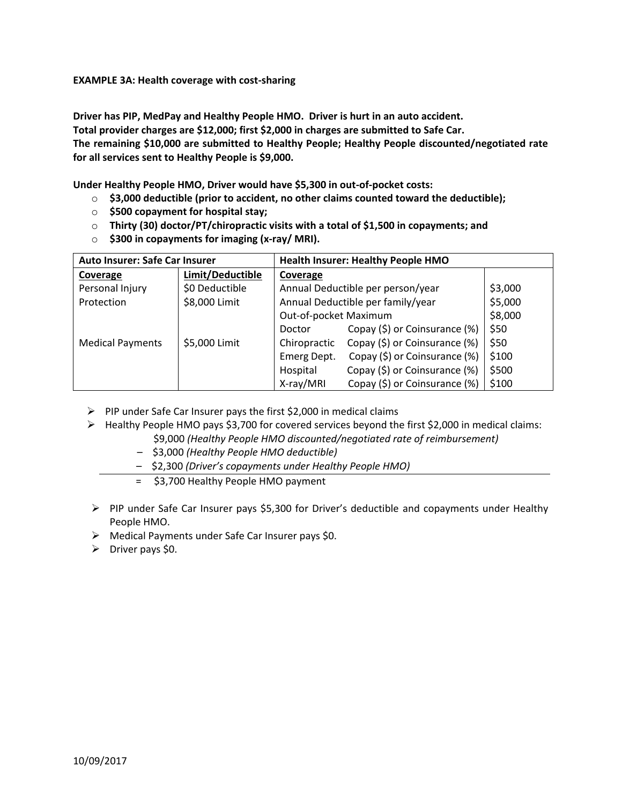**EXAMPLE 3A: Health coverage with cost-sharing**

**Driver has PIP, MedPay and Healthy People HMO. Driver is hurt in an auto accident. Total provider charges are \$12,000; first \$2,000 in charges are submitted to Safe Car. The remaining \$10,000 are submitted to Healthy People; Healthy People discounted/negotiated rate for all services sent to Healthy People is \$9,000.**

**Under Healthy People HMO, Driver would have \$5,300 in out-of-pocket costs:**

- o **\$3,000 deductible (prior to accident, no other claims counted toward the deductible);**
- o **\$500 copayment for hospital stay;**
- o **Thirty (30) doctor/PT/chiropractic visits with a total of \$1,500 in copayments; and**
- o **\$300 in copayments for imaging (x-ray/ MRI).**

| <b>Auto Insurer: Safe Car Insurer</b> |                  | <b>Health Insurer: Healthy People HMO</b> |                                   |         |
|---------------------------------------|------------------|-------------------------------------------|-----------------------------------|---------|
| Coverage                              | Limit/Deductible | Coverage                                  |                                   |         |
| Personal Injury                       | \$0 Deductible   |                                           | Annual Deductible per person/year | \$3,000 |
| Protection                            | \$8,000 Limit    | Annual Deductible per family/year         |                                   | \$5,000 |
|                                       |                  | Out-of-pocket Maximum                     |                                   | \$8,000 |
|                                       |                  | Doctor                                    | Copay (\$) or Coinsurance (%)     | \$50    |
| <b>Medical Payments</b>               | \$5,000 Limit    | Chiropractic                              | Copay (\$) or Coinsurance (%)     | \$50    |
|                                       |                  | Emerg Dept.                               | Copay (\$) or Coinsurance (%)     | \$100   |
|                                       |                  | Hospital                                  | Copay (\$) or Coinsurance (%)     | \$500   |
|                                       |                  | X-ray/MRI                                 | Copay (\$) or Coinsurance (%)     | \$100   |

- $\triangleright$  PIP under Safe Car Insurer pays the first \$2,000 in medical claims
- $\triangleright$  Healthy People HMO pays \$3,700 for covered services beyond the first \$2,000 in medical claims: \$9,000 *(Healthy People HMO discounted/negotiated rate of reimbursement)*
	- \$3,000 *(Healthy People HMO deductible)*
	- \$2,300 *(Driver's copayments under Healthy People HMO)*
	- = \$3,700 Healthy People HMO payment
- $\triangleright$  PIP under Safe Car Insurer pays \$5,300 for Driver's deductible and copayments under Healthy People HMO.
- Medical Payments under Safe Car Insurer pays \$0.
- $\triangleright$  Driver pays \$0.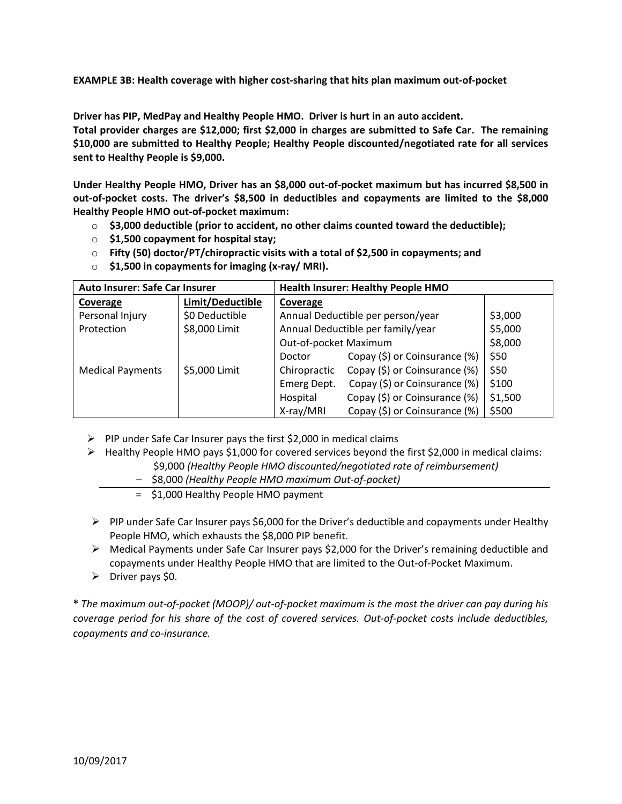**EXAMPLE 3B: Health coverage with higher cost-sharing that hits plan maximum out-of-pocket**

**Driver has PIP, MedPay and Healthy People HMO. Driver is hurt in an auto accident.** 

**Total provider charges are \$12,000; first \$2,000 in charges are submitted to Safe Car. The remaining \$10,000 are submitted to Healthy People; Healthy People discounted/negotiated rate for all services sent to Healthy People is \$9,000.**

**Under Healthy People HMO, Driver has an \$8,000 out-of-pocket maximum but has incurred \$8,500 in out-of-pocket costs. The driver's \$8,500 in deductibles and copayments are limited to the \$8,000 Healthy People HMO out-of-pocket maximum:**

- o **\$3,000 deductible (prior to accident, no other claims counted toward the deductible);**
- o **\$1,500 copayment for hospital stay;**
- o **Fifty (50) doctor/PT/chiropractic visits with a total of \$2,500 in copayments; and**
- o **\$1,500 in copayments for imaging (x-ray/ MRI).**

| <b>Auto Insurer: Safe Car Insurer</b> |                  | <b>Health Insurer: Healthy People HMO</b> |                                   |         |
|---------------------------------------|------------------|-------------------------------------------|-----------------------------------|---------|
| Coverage                              | Limit/Deductible | Coverage                                  |                                   |         |
| Personal Injury                       | \$0 Deductible   |                                           | Annual Deductible per person/year | \$3,000 |
| Protection                            | \$8,000 Limit    | Annual Deductible per family/year         |                                   | \$5,000 |
|                                       |                  | Out-of-pocket Maximum                     |                                   | \$8,000 |
|                                       |                  | Doctor                                    | Copay (\$) or Coinsurance (%)     | \$50    |
| <b>Medical Payments</b>               | \$5,000 Limit    | Chiropractic                              | Copay (\$) or Coinsurance (%)     | \$50    |
|                                       |                  | Emerg Dept.                               | Copay (\$) or Coinsurance (%)     | \$100   |
|                                       |                  | Hospital                                  | Copay (\$) or Coinsurance (%)     | \$1,500 |
|                                       |                  | X-ray/MRI                                 | Copay (\$) or Coinsurance (%)     | \$500   |

- $\triangleright$  PIP under Safe Car Insurer pays the first \$2,000 in medical claims
- Healthy People HMO pays \$1,000 for covered services beyond the first \$2,000 in medical claims:
	- \$9,000 *(Healthy People HMO discounted/negotiated rate of reimbursement)*
	- \$8,000 *(Healthy People HMO maximum Out-of-pocket)*
	- = \$1,000 Healthy People HMO payment
- $\triangleright$  PIP under Safe Car Insurer pays \$6,000 for the Driver's deductible and copayments under Healthy People HMO, which exhausts the \$8,000 PIP benefit.
- $\triangleright$  Medical Payments under Safe Car Insurer pays \$2,000 for the Driver's remaining deductible and copayments under Healthy People HMO that are limited to the Out-of-Pocket Maximum.
- $\triangleright$  Driver pays \$0.

**\*** *The maximum out-of-pocket (MOOP)/ out-of-pocket maximum is the most the driver can pay during his coverage period for his share of the cost of covered services. Out-of-pocket costs include deductibles, copayments and co-insurance.*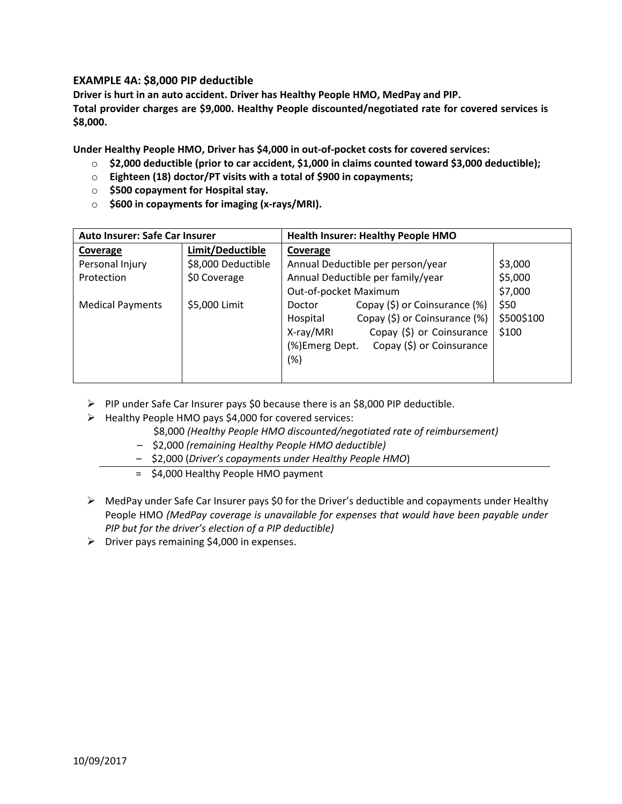#### **EXAMPLE 4A: \$8,000 PIP deductible**

**Driver is hurt in an auto accident. Driver has Healthy People HMO, MedPay and PIP. Total provider charges are \$9,000. Healthy People discounted/negotiated rate for covered services is \$8,000.** 

**Under Healthy People HMO, Driver has \$4,000 in out-of-pocket costs for covered services:**

- o **\$2,000 deductible (prior to car accident, \$1,000 in claims counted toward \$3,000 deductible);**
- o **Eighteen (18) doctor/PT visits with a total of \$900 in copayments;**
- o **\$500 copayment for Hospital stay.**
- o **\$600 in copayments for imaging (x-rays/MRI).**

| Auto Insurer: Safe Car Insurer |                    | <b>Health Insurer: Healthy People HMO</b>    |            |  |
|--------------------------------|--------------------|----------------------------------------------|------------|--|
| Coverage                       | Limit/Deductible   | Coverage                                     |            |  |
| Personal Injury                | \$8,000 Deductible | Annual Deductible per person/year            | \$3,000    |  |
| Protection                     | \$0 Coverage       | Annual Deductible per family/year            | \$5,000    |  |
|                                |                    | Out-of-pocket Maximum                        | \$7,000    |  |
| <b>Medical Payments</b>        | \$5,000 Limit      | Copay (\$) or Coinsurance (%)<br>Doctor      | \$50       |  |
|                                |                    | Copay (\$) or Coinsurance (%)<br>Hospital    | \$500\$100 |  |
|                                |                    | Copay (\$) or Coinsurance<br>X-ray/MRI       | \$100      |  |
|                                |                    | Copay (\$) or Coinsurance<br>(%) Emerg Dept. |            |  |
|                                |                    | (%)                                          |            |  |
|                                |                    |                                              |            |  |

- $\triangleright$  PIP under Safe Car Insurer pays \$0 because there is an \$8,000 PIP deductible.
- $\triangleright$  Healthy People HMO pays \$4,000 for covered services:
	- \$8,000 *(Healthy People HMO discounted/negotiated rate of reimbursement)*
	- \$2,000 *(remaining Healthy People HMO deductible)*
	- \$2,000 (*Driver's copayments under Healthy People HMO*)
	- = \$4,000 Healthy People HMO payment
- $\triangleright$  MedPay under Safe Car Insurer pays \$0 for the Driver's deductible and copayments under Healthy People HMO *(MedPay coverage is unavailable for expenses that would have been payable under PIP but for the driver's election of a PIP deductible)*
- $\triangleright$  Driver pays remaining \$4,000 in expenses.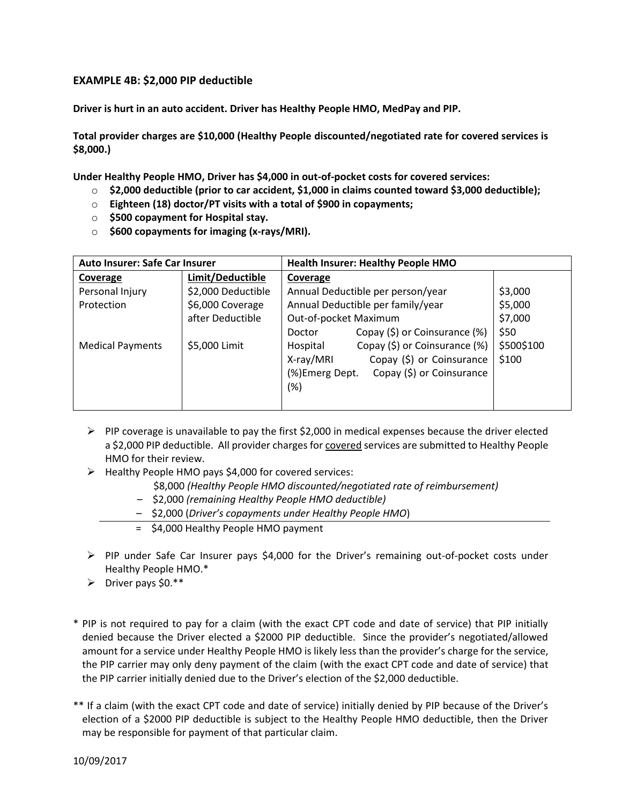#### **EXAMPLE 4B: \$2,000 PIP deductible**

**Driver is hurt in an auto accident. Driver has Healthy People HMO, MedPay and PIP.** 

**Total provider charges are \$10,000 (Healthy People discounted/negotiated rate for covered services is \$8,000.)** 

**Under Healthy People HMO, Driver has \$4,000 in out-of-pocket costs for covered services:**

- o **\$2,000 deductible (prior to car accident, \$1,000 in claims counted toward \$3,000 deductible);**
- o **Eighteen (18) doctor/PT visits with a total of \$900 in copayments;**
- o **\$500 copayment for Hospital stay.**
- o **\$600 copayments for imaging (x-rays/MRI).**

| Auto Insurer: Safe Car Insurer |                    | <b>Health Insurer: Healthy People HMO</b>    |            |  |
|--------------------------------|--------------------|----------------------------------------------|------------|--|
| Coverage                       | Limit/Deductible   | Coverage                                     |            |  |
| Personal Injury                | \$2,000 Deductible | Annual Deductible per person/year            | \$3,000    |  |
| Protection                     | \$6,000 Coverage   | Annual Deductible per family/year            | \$5,000    |  |
|                                | after Deductible   | Out-of-pocket Maximum                        | \$7,000    |  |
|                                |                    | Copay (\$) or Coinsurance (%)<br>Doctor      | \$50       |  |
| <b>Medical Payments</b>        | \$5,000 Limit      | Copay (\$) or Coinsurance (%)<br>Hospital    | \$500\$100 |  |
|                                |                    | Copay (\$) or Coinsurance<br>X-ray/MRI       | \$100      |  |
|                                |                    | (%) Emerg Dept.<br>Copay (\$) or Coinsurance |            |  |
|                                |                    | (%)                                          |            |  |
|                                |                    |                                              |            |  |

- $\triangleright$  PIP coverage is unavailable to pay the first \$2,000 in medical expenses because the driver elected a \$2,000 PIP deductible. All provider charges for covered services are submitted to Healthy People HMO for their review.
- $\triangleright$  Healthy People HMO pays \$4,000 for covered services:
	- \$8,000 *(Healthy People HMO discounted/negotiated rate of reimbursement)*
	- \$2,000 *(remaining Healthy People HMO deductible)*
	- \$2,000 (*Driver's copayments under Healthy People HMO*)
	- = \$4,000 Healthy People HMO payment
- $\triangleright$  PIP under Safe Car Insurer pays \$4,000 for the Driver's remaining out-of-pocket costs under Healthy People HMO.\*
- $\triangleright$  Driver pays \$0.\*\*
- \* PIP is not required to pay for a claim (with the exact CPT code and date of service) that PIP initially denied because the Driver elected a \$2000 PIP deductible. Since the provider's negotiated/allowed amount for a service under Healthy People HMO is likely less than the provider's charge for the service, the PIP carrier may only deny payment of the claim (with the exact CPT code and date of service) that the PIP carrier initially denied due to the Driver's election of the \$2,000 deductible.
- \*\* If a claim (with the exact CPT code and date of service) initially denied by PIP because of the Driver's election of a \$2000 PIP deductible is subject to the Healthy People HMO deductible, then the Driver may be responsible for payment of that particular claim.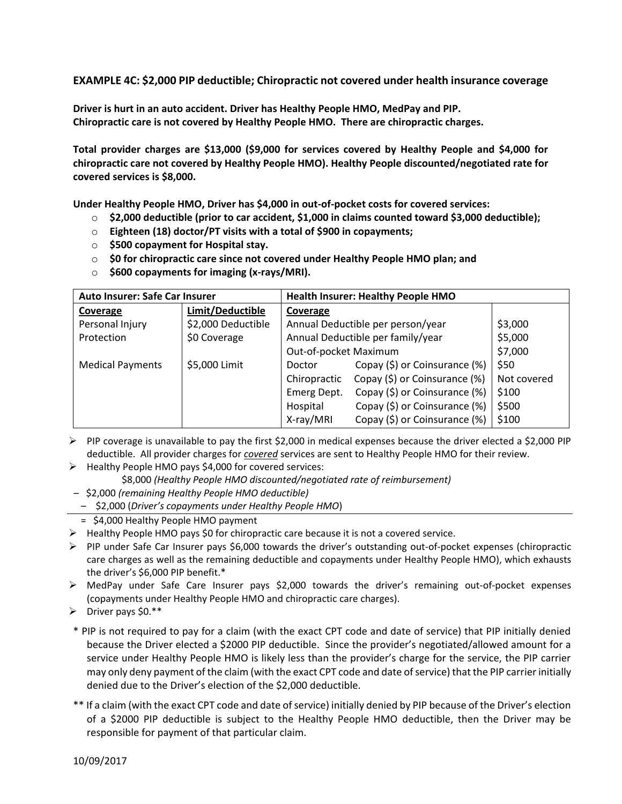**EXAMPLE 4C: \$2,000 PIP deductible; Chiropractic not covered under health insurance coverage**

**Driver is hurt in an auto accident. Driver has Healthy People HMO, MedPay and PIP. Chiropractic care is not covered by Healthy People HMO. There are chiropractic charges.**

**Total provider charges are \$13,000 (\$9,000 for services covered by Healthy People and \$4,000 for chiropractic care not covered by Healthy People HMO). Healthy People discounted/negotiated rate for covered services is \$8,000.**

**Under Healthy People HMO, Driver has \$4,000 in out-of-pocket costs for covered services:**

- o **\$2,000 deductible (prior to car accident, \$1,000 in claims counted toward \$3,000 deductible);**
- o **Eighteen (18) doctor/PT visits with a total of \$900 in copayments;**
- o **\$500 copayment for Hospital stay.**
- o **\$0 for chiropractic care since not covered under Healthy People HMO plan; and**
- o **\$600 copayments for imaging (x-rays/MRI).**

| <b>Auto Insurer: Safe Car Insurer</b> |                    | <b>Health Insurer: Healthy People HMO</b> |                                   |             |
|---------------------------------------|--------------------|-------------------------------------------|-----------------------------------|-------------|
| Coverage                              | Limit/Deductible   | Coverage                                  |                                   |             |
| Personal Injury                       | \$2,000 Deductible |                                           | Annual Deductible per person/year | \$3,000     |
| Protection                            | \$0 Coverage       |                                           | Annual Deductible per family/year |             |
|                                       |                    | Out-of-pocket Maximum                     |                                   | \$7,000     |
| <b>Medical Payments</b>               | \$5,000 Limit      | Doctor                                    | Copay (\$) or Coinsurance (%)     | \$50        |
|                                       |                    | Chiropractic                              | Copay (\$) or Coinsurance (%)     | Not covered |
|                                       |                    | Emerg Dept.                               | Copay (\$) or Coinsurance (%)     | \$100       |
|                                       |                    | Hospital                                  | Copay (\$) or Coinsurance (%)     | \$500       |
|                                       |                    | X-ray/MRI                                 | Copay (\$) or Coinsurance (%)     | \$100       |

- $\triangleright$  PIP coverage is unavailable to pay the first \$2,000 in medical expenses because the driver elected a \$2,000 PIP deductible. All provider charges for *covered* services are sent to Healthy People HMO for their review.
- $\triangleright$  Healthy People HMO pays \$4,000 for covered services:
	- \$8,000 *(Healthy People HMO discounted/negotiated rate of reimbursement)*
- \$2,000 *(remaining Healthy People HMO deductible)*
- \$2,000 (*Driver's copayments under Healthy People HMO*)
- = \$4,000 Healthy People HMO payment
- $\triangleright$  Healthy People HMO pays \$0 for chiropractic care because it is not a covered service.
- $\triangleright$  PIP under Safe Car Insurer pays \$6,000 towards the driver's outstanding out-of-pocket expenses (chiropractic care charges as well as the remaining deductible and copayments under Healthy People HMO), which exhausts the driver's \$6,000 PIP benefit.\*
- MedPay under Safe Care Insurer pays \$2,000 towards the driver's remaining out-of-pocket expenses (copayments under Healthy People HMO and chiropractic care charges).
- $\triangleright$  Driver pays \$0.\*\*
- \* PIP is not required to pay for a claim (with the exact CPT code and date of service) that PIP initially denied because the Driver elected a \$2000 PIP deductible. Since the provider's negotiated/allowed amount for a service under Healthy People HMO is likely less than the provider's charge for the service, the PIP carrier may only deny payment of the claim (with the exact CPT code and date of service) that the PIP carrier initially denied due to the Driver's election of the \$2,000 deductible.
- \*\* If a claim (with the exact CPT code and date of service) initially denied by PIP because of the Driver's election of a \$2000 PIP deductible is subject to the Healthy People HMO deductible, then the Driver may be responsible for payment of that particular claim.